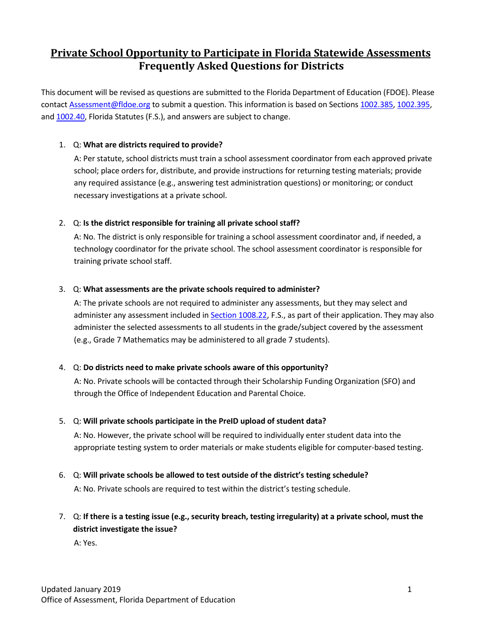# **Private School Opportunity to Participate in Florida Statewide Assessments Frequently Asked Questions for Districts**

This document will be revised as questions are submitted to the Florida Department of Education (FDOE). Please contact [Assessment@fldoe.org](mailto:Assessment@fldoe.org) to submit a question. This information is based on Sections [1002.385,](http://www.leg.state.fl.us/statutes/index.cfm?mode=View%20Statutes&SubMenu=1&App_mode=Display_Statute&Search_String=1002.385&URL=1000-1099/1002/Sections/1002.385.html) [1002.395,](http://www.leg.state.fl.us/statutes/index.cfm?App_mode=Display_Statute&Search_String=&URL=1000-1099/1002/Sections/1002.395.html) and [1002.40,](http://www.leg.state.fl.us/statutes/index.cfm?mode=View%20Statutes&SubMenu=1&App_mode=Display_Statute&Search_String=1002.40&URL=1000-1099/1002/Sections/1002.40.html) Florida Statutes (F.S.), and answers are subject to change.

# 1. Q: **What are districts required to provide?**

A: Per statute, school districts must train a school assessment coordinator from each approved private school; place orders for, distribute, and provide instructions for returning testing materials; provide any required assistance (e.g., answering test administration questions) or monitoring; or conduct necessary investigations at a private school.

# 2. Q: **Is the district responsible for training all private school staff?**

A: No. The district is only responsible for training a school assessment coordinator and, if needed, a technology coordinator for the private school. The school assessment coordinator is responsible for training private school staff.

#### 3. Q: **What assessments are the private schools required to administer?**

A: The private schools are not required to administer any assessments, but they may select and administer any assessment included in Section [1008.22,](http://www.leg.state.fl.us/Statutes/?App_mode=Display_Statute&URL=1000-1099/1008/Sections/1008.22.html) F.S., as part of their application. They may also administer the selected assessments to all students in the grade/subject covered by the assessment (e.g., Grade 7 Mathematics may be administered to all grade 7 students).

#### 4. Q: **Do districts need to make private schools aware of this opportunity?**

A: No. Private schools will be contacted through their Scholarship Funding Organization (SFO) and through the Office of Independent Education and Parental Choice.

#### 5. Q: **Will private schools participate in the PreID upload of student data?**

A: No. However, the private school will be required to individually enter student data into the appropriate testing system to order materials or make students eligible for computer-based testing.

6. Q: **Will private schools be allowed to test outside of the district's testing schedule?**

A: No. Private schools are required to test within the district's testing schedule.

7. Q: **If there is a testing issue (e.g., security breach, testing irregularity) at a private school, must the district investigate the issue?**

A: Yes.